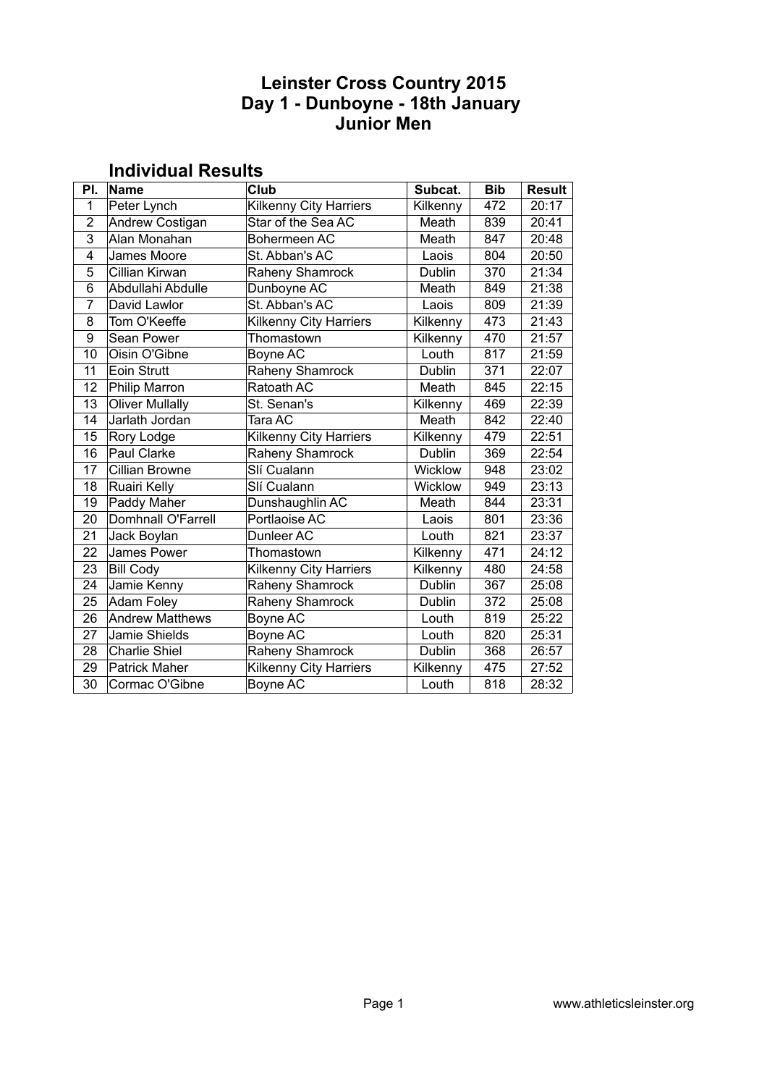#### **Leinster Cross Country 2015 Day 1 - Dunboyne - 18th January Junior Men**

### **Individual Results**

| PI.            | Name                      | Club                          | Subcat.       | <b>Bib</b> | <b>Result</b> |
|----------------|---------------------------|-------------------------------|---------------|------------|---------------|
| 1              | Peter Lynch               | Kilkenny City Harriers        | Kilkenny      | 472        | 20:17         |
| $\overline{2}$ | Andrew Costigan           | Star of the Sea AC            | Meath         | 839        | 20:41         |
| 3              | Alan Monahan              | Bohermeen AC                  | Meath         | 847        | 20:48         |
| 4              | James Moore               | St. Abban's AC                | Laois         | 804        | 20:50         |
| 5              | Cillian Kirwan            | Raheny Shamrock               | Dublin        | 370        | 21:34         |
| 6              | Abdullahi Abdulle         | Dunboyne AC                   | Meath         | 849        | 21:38         |
| 7              | David Lawlor              | St. Abban's AC                | Laois         | 809        | 21:39         |
| 8              | Tom O'Keeffe              | <b>Kilkenny City Harriers</b> | Kilkenny      | 473        | 21:43         |
| 9              | Sean Power                | Thomastown                    | Kilkenny      | 470        | 21:57         |
| 10             | Oisin O'Gibne             | Boyne AC                      | Louth         | 817        | 21:59         |
| 11             | Eoin Strutt               | Raheny Shamrock               | <b>Dublin</b> | 371        | 22:07         |
| 12             | Philip Marron             | Ratoath AC                    | Meath         | 845        | 22:15         |
| 13             | <b>Oliver Mullally</b>    | St. Senan's                   | Kilkenny      | 469        | 22:39         |
| 14             | Jarlath Jordan            | Tara AC                       | Meath         | 842        | 22:40         |
| 15             | Rory Lodge                | Kilkenny City Harriers        | Kilkenny      | 479        | 22:51         |
| 16             | Paul Clarke               | Raheny Shamrock               | <b>Dublin</b> | 369        | 22:54         |
| 17             | Cillian Browne            | Slí Cualann                   | Wicklow       | 948        | 23:02         |
| 18             | Ruairi Kelly              | Slí Cualann                   | Wicklow       | 949        | 23:13         |
| 19             | Paddy Maher               | Dunshaughlin AC               | Meath         | 844        | 23:31         |
| 20             | <b>Domhnall O'Farrell</b> | Portlaoise AC                 | Laois         | 801        | 23:36         |
| 21             | Jack Boylan               | Dunleer AC                    | Louth         | 821        | 23:37         |
| 22             | James Power               | Thomastown                    | Kilkenny      | 471        | 24:12         |
| 23             | <b>Bill Cody</b>          | Kilkenny City Harriers        | Kilkenny      | 480        | 24:58         |
| 24             | Jamie Kenny               | Raheny Shamrock               | Dublin        | 367        | 25:08         |
| 25             | Adam Foley                | Raheny Shamrock               | Dublin        | 372        | 25:08         |
| 26             | <b>Andrew Matthews</b>    | Boyne AC                      | Louth         | 819        | 25:22         |
| 27             | Jamie Shields             | Boyne AC                      | Louth         | 820        | 25:31         |
| 28             | <b>Charlie Shiel</b>      | Raheny Shamrock               | Dublin        | 368        | 26:57         |
| 29             | <b>Patrick Maher</b>      | <b>Kilkenny City Harriers</b> | Kilkenny      | 475        | 27:52         |
| 30             | Cormac O'Gibne            | Boyne AC                      | Louth         | 818        | 28:32         |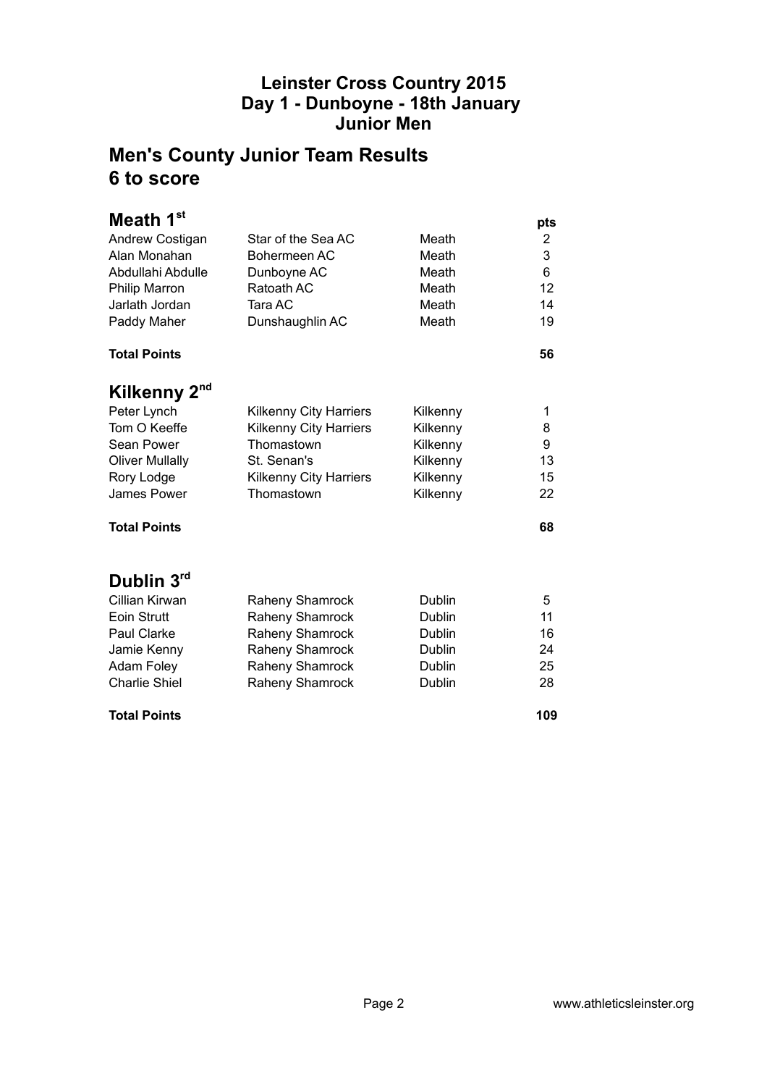### **Leinster Cross Country 2015 Day 1 - Dunboyne - 18th January Junior Men**

## **Men's County Junior Team Results 6 to score**

| Meath 1 <sup>st</sup>    |                               |               | pts |
|--------------------------|-------------------------------|---------------|-----|
| Andrew Costigan          | Star of the Sea AC            | Meath         | 2   |
| Alan Monahan             | Bohermeen AC                  | Meath         | 3   |
| Abdullahi Abdulle        | Dunboyne AC                   | Meath         | 6   |
| Philip Marron            | Ratoath AC                    | Meath         | 12  |
| Jarlath Jordan           | Tara AC                       | Meath         | 14  |
| Paddy Maher              | Dunshaughlin AC               | Meath         | 19  |
| <b>Total Points</b>      |                               |               | 56  |
| Kilkenny 2 <sup>nd</sup> |                               |               |     |
| Peter Lynch              | <b>Kilkenny City Harriers</b> | Kilkenny      | 1   |
| Tom O Keeffe             | <b>Kilkenny City Harriers</b> | Kilkenny      | 8   |
| Sean Power               | Thomastown                    | Kilkenny      | 9   |
| <b>Oliver Mullally</b>   | St. Senan's                   | Kilkenny      | 13  |
| Rory Lodge               | Kilkenny City Harriers        | Kilkenny      | 15  |
| James Power              | Thomastown                    | Kilkenny      | 22  |
| <b>Total Points</b>      |                               |               | 68  |
| Dublin 3rd               |                               |               |     |
| Cillian Kirwan           | Raheny Shamrock               | Dublin        | 5   |
| Eoin Strutt              | Raheny Shamrock               | <b>Dublin</b> | 11  |
| Paul Clarke              | Raheny Shamrock               | Dublin        | 16  |
| Jamie Kenny              | Raheny Shamrock               | Dublin        | 24  |
| Adam Foley               | Raheny Shamrock               | <b>Dublin</b> | 25  |
| <b>Charlie Shiel</b>     | Raheny Shamrock               | Dublin        | 28  |
| <b>Total Points</b>      |                               |               | 109 |